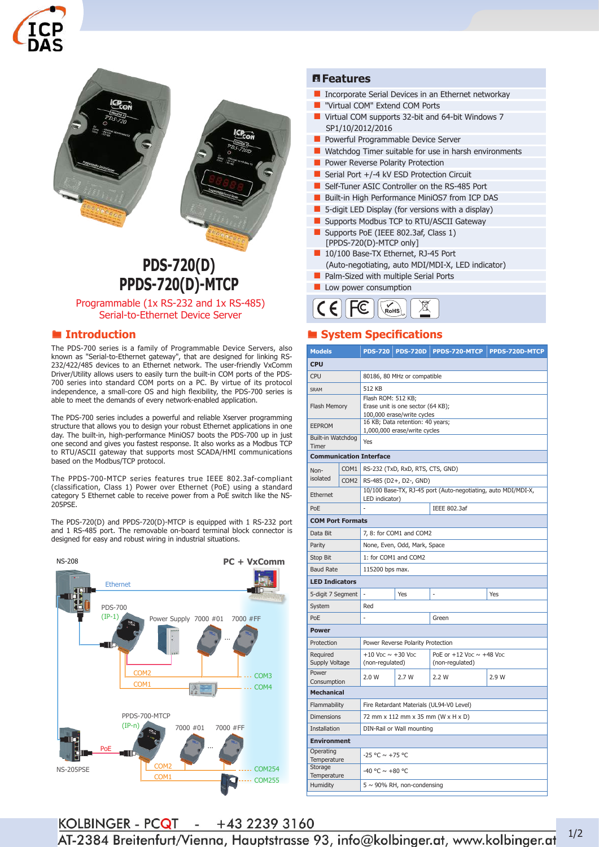



# **PDS-720(D) PPDS-720(D)-MTCP**

Programmable (1x RS-232 and 1x RS-485) Serial-to-Ethernet Device Server

#### ® **Introduction**

The PDS-700 series is a family of Programmable Device Servers, also known as "Serial-to-Ethernet gateway", that are designed for linking RS-232/422/485 devices to an Ethernet network. The user-friendly VxComm Driver/Utility allows users to easily turn the built-in COM ports of the PDS-700 series into standard COM ports on a PC. By virtue of its protocol independence, a small-core OS and high flexibility, the PDS-700 series is able to meet the demands of every network-enabled application.

The PDS-700 series includes a powerful and reliable Xserver programming structure that allows you to design your robust Ethernet applications in one day. The built-in, high-performance MiniOS7 boots the PDS-700 up in just one second and gives you fastest response. It also works as a Modbus TCP to RTU/ASCII gateway that supports most SCADA/HMI communications based on the Modbus/TCP protocol.

The PPDS-700-MTCP series features true IEEE 802.3af-compliant (classification, Class 1) Power over Ethernet (PoE) using a standard category 5 Ethernet cable to receive power from a PoE switch like the NS-205PSE.

The PDS-720(D) and PPDS-720(D)-MTCP is equipped with 1 RS-232 port and 1 RS-485 port. The removable on-board terminal block connector is designed for easy and robust wiring in industrial situations.



#### ¯**Features**

- **Incorporate Serial Devices in an Ethernet networkay**
- **U** "Virtual COM" Extend COM Ports
- Virtual COM supports 32-bit and 64-bit Windows 7 SP1/10/2012/2016
- **Powerful Programmable Device Server**
- Watchdog Timer suitable for use in harsh environments
- Power Reverse Polarity Protection
- Serial Port +/-4 kV ESD Protection Circuit
- Self-Tuner ASIC Controller on the RS-485 Port
- Built-in High Performance MiniOS7 from ICP DAS
- **5-digit LED Display (for versions with a display)**
- **Supports Modbus TCP to RTU/ASCII Gateway**
- Supports PoE (IEEE 802.3af, Class 1) [PPDS-720(D)-MTCP only]
- 10/100 Base-TX Ethernet, RJ-45 Port
- (Auto-negotiating, auto MDI/MDI-X, LED indicator)
- Palm-Sized with multiple Serial Ports
- **Low power consumption**



## ® **System Specifications**

| <b>Models</b>              |                  | <b>PDS-720</b>                                                                        | <b>PDS-720D</b> | PPDS-720-MTCP                                                                | PPDS-720D-MTCP |  |
|----------------------------|------------------|---------------------------------------------------------------------------------------|-----------------|------------------------------------------------------------------------------|----------------|--|
| <b>CPU</b>                 |                  |                                                                                       |                 |                                                                              |                |  |
| <b>CPU</b>                 |                  | 80186, 80 MHz or compatible                                                           |                 |                                                                              |                |  |
| <b>SRAM</b>                |                  | 512 KB                                                                                |                 |                                                                              |                |  |
| Flash Memory               |                  | Flash ROM: 512 KB;<br>Erase unit is one sector (64 KB);<br>100,000 erase/write cycles |                 |                                                                              |                |  |
| <b>EEPROM</b>              |                  | 16 KB; Data retention: 40 years;<br>1,000,000 erase/write cycles                      |                 |                                                                              |                |  |
| Built-in Watchdog<br>Timer |                  | Yes                                                                                   |                 |                                                                              |                |  |
|                            |                  | <b>Communication Interface</b>                                                        |                 |                                                                              |                |  |
| Non-                       | COM <sub>1</sub> | RS-232 (TxD, RxD, RTS, CTS, GND)                                                      |                 |                                                                              |                |  |
| isolated                   | COM <sub>2</sub> | RS-485 (D2+, D2-, GND)                                                                |                 |                                                                              |                |  |
| Ethernet                   |                  | 10/100 Base-TX, RJ-45 port (Auto-negotiating, auto MDI/MDI-X,<br>LED indicator)       |                 |                                                                              |                |  |
| PoE                        |                  | L                                                                                     |                 | IEEE 802.3af                                                                 |                |  |
| <b>COM Port Formats</b>    |                  |                                                                                       |                 |                                                                              |                |  |
| Data Bit                   |                  | 7, 8: for COM1 and COM2                                                               |                 |                                                                              |                |  |
| Parity                     |                  | None, Even, Odd, Mark, Space                                                          |                 |                                                                              |                |  |
| Stop Bit                   |                  | 1: for COM1 and COM2                                                                  |                 |                                                                              |                |  |
| <b>Baud Rate</b>           |                  | 115200 bps max.                                                                       |                 |                                                                              |                |  |
| <b>LED Indicators</b>      |                  |                                                                                       |                 |                                                                              |                |  |
| 5-digit 7 Segment          |                  | ÷,                                                                                    | Yes             |                                                                              | Yes            |  |
| System                     |                  | Red                                                                                   |                 |                                                                              |                |  |
| PoE                        |                  | L                                                                                     |                 | Green                                                                        |                |  |
| <b>Power</b>               |                  |                                                                                       |                 |                                                                              |                |  |
| Protection                 |                  | Power Reverse Polarity Protection                                                     |                 |                                                                              |                |  |
| Required<br>Supply Voltage |                  | $+10$ V <sub>DC</sub> $\sim$ $+30$ V <sub>DC</sub><br>(non-regulated)                 |                 | PoE or $+12$ V <sub>DC</sub> $\sim$ $+48$ V <sub>DC</sub><br>(non-regulated) |                |  |
| Power<br>Consumption       |                  | 2.0 W                                                                                 | 2.7W            | 2.2W                                                                         | 2.9 W          |  |
| <b>Mechanical</b>          |                  |                                                                                       |                 |                                                                              |                |  |
| Flammability               |                  | Fire Retardant Materials (UL94-V0 Level)                                              |                 |                                                                              |                |  |
| <b>Dimensions</b>          |                  | 72 mm x 112 mm x 35 mm (W x H x D)                                                    |                 |                                                                              |                |  |
| <b>Installation</b>        |                  | DIN-Rail or Wall mounting                                                             |                 |                                                                              |                |  |
| <b>Environment</b>         |                  |                                                                                       |                 |                                                                              |                |  |
| Operating<br>Temperature   |                  | $-25 °C \sim +75 °C$                                                                  |                 |                                                                              |                |  |
| Storage<br>Temperature     |                  | -40 °C $\sim$ +80 °C                                                                  |                 |                                                                              |                |  |
| Humidity                   |                  | $5 \sim 90\%$ RH, non-condensing                                                      |                 |                                                                              |                |  |

**KOLBINGER - PCQT**  $- +4322393160$